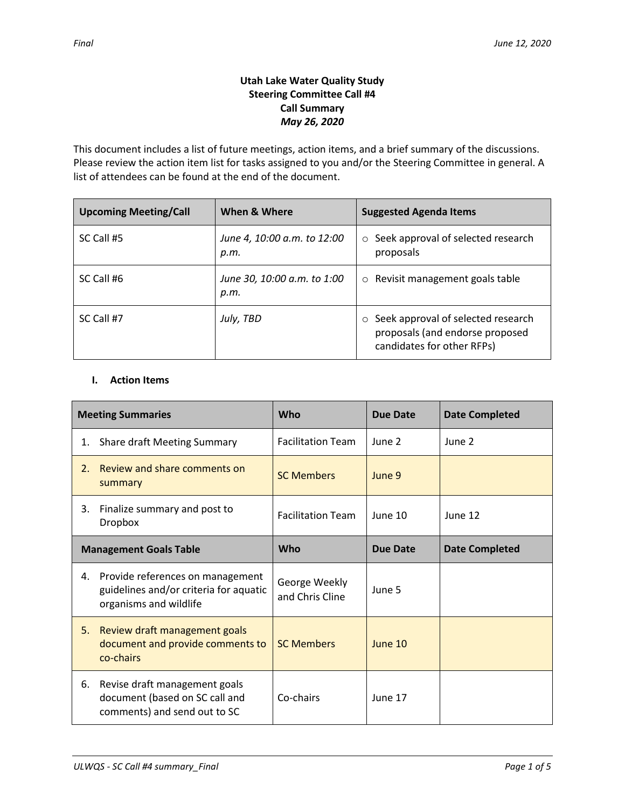# **Utah Lake Water Quality Study Steering Committee Call #4 Call Summary** *May 26, 2020*

This document includes a list of future meetings, action items, and a brief summary of the discussions. Please review the action item list for tasks assigned to you and/or the Steering Committee in general. A list of attendees can be found at the end of the document.

| <b>Upcoming Meeting/Call</b> | When & Where                        | <b>Suggested Agenda Items</b>                                                                                  |  |
|------------------------------|-------------------------------------|----------------------------------------------------------------------------------------------------------------|--|
| SC Call #5                   | June 4, 10:00 a.m. to 12:00<br>р.т. | $\circ$ Seek approval of selected research<br>proposals                                                        |  |
| SC Call #6                   | June 30, 10:00 a.m. to 1:00<br>p.m. | $\circ$ Revisit management goals table                                                                         |  |
| SC Call #7                   | July, TBD                           | Seek approval of selected research<br>$\circ$<br>proposals (and endorse proposed<br>candidates for other RFPs) |  |

## **I. Action Items**

| <b>Meeting Summaries</b>      |                                                                                                      | Who                              | <b>Due Date</b> | <b>Date Completed</b> |
|-------------------------------|------------------------------------------------------------------------------------------------------|----------------------------------|-----------------|-----------------------|
| 1.                            | <b>Share draft Meeting Summary</b>                                                                   | <b>Facilitation Team</b>         | June 2          | June 2                |
| 2.                            | Review and share comments on<br>summary                                                              | <b>SC Members</b>                | June 9          |                       |
| 3.                            | Finalize summary and post to<br><b>Dropbox</b>                                                       | <b>Facilitation Team</b>         | June 10         | June 12               |
| <b>Management Goals Table</b> |                                                                                                      | Who                              | <b>Due Date</b> | <b>Date Completed</b> |
| 4.                            | Provide references on management<br>guidelines and/or criteria for aquatic<br>organisms and wildlife | George Weekly<br>and Chris Cline | June 5          |                       |
| 5.                            | Review draft management goals<br>document and provide comments to<br>co-chairs                       | <b>SC Members</b>                | June 10         |                       |
| 6.                            | Revise draft management goals<br>document (based on SC call and<br>comments) and send out to SC      | Co-chairs                        | June 17         |                       |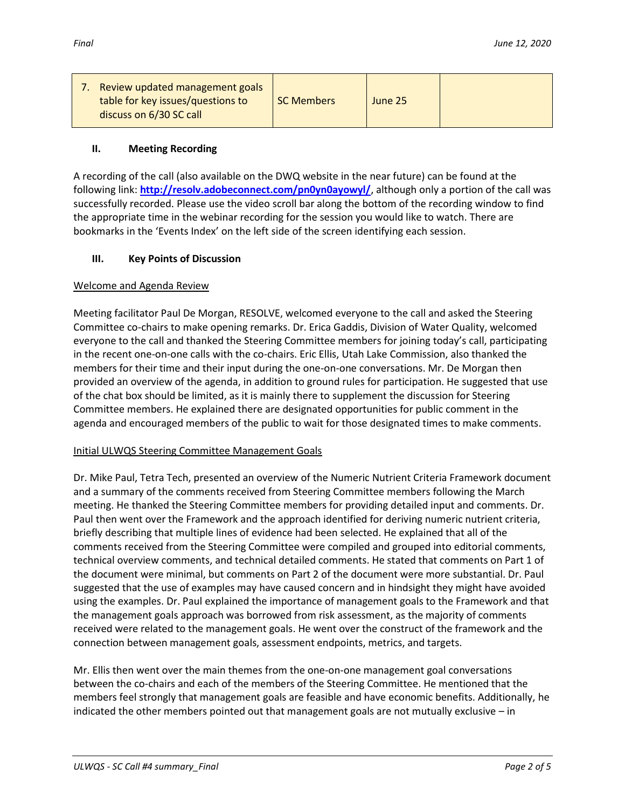|  | Review updated management goals<br>table for key issues/questions to<br>discuss on 6/30 SC call | <b>SC Members</b> | June 25 |  |
|--|-------------------------------------------------------------------------------------------------|-------------------|---------|--|
|--|-------------------------------------------------------------------------------------------------|-------------------|---------|--|

### **II. Meeting Recording**

A recording of the call (also available on the DWQ website in the near future) can be found at the following link: **<http://resolv.adobeconnect.com/pn0yn0ayowyl/>**, although only a portion of the call was successfully recorded. Please use the video scroll bar along the bottom of the recording window to find the appropriate time in the webinar recording for the session you would like to watch. There are bookmarks in the 'Events Index' on the left side of the screen identifying each session.

### **III. Key Points of Discussion**

### Welcome and Agenda Review

Meeting facilitator Paul De Morgan, RESOLVE, welcomed everyone to the call and asked the Steering Committee co-chairs to make opening remarks. Dr. Erica Gaddis, Division of Water Quality, welcomed everyone to the call and thanked the Steering Committee members for joining today's call, participating in the recent one-on-one calls with the co-chairs. Eric Ellis, Utah Lake Commission, also thanked the members for their time and their input during the one-on-one conversations. Mr. De Morgan then provided an overview of the agenda, in addition to ground rules for participation. He suggested that use of the chat box should be limited, as it is mainly there to supplement the discussion for Steering Committee members. He explained there are designated opportunities for public comment in the agenda and encouraged members of the public to wait for those designated times to make comments.

#### Initial ULWQS Steering Committee Management Goals

Dr. Mike Paul, Tetra Tech, presented an overview of the Numeric Nutrient Criteria Framework document and a summary of the comments received from Steering Committee members following the March meeting. He thanked the Steering Committee members for providing detailed input and comments. Dr. Paul then went over the Framework and the approach identified for deriving numeric nutrient criteria, briefly describing that multiple lines of evidence had been selected. He explained that all of the comments received from the Steering Committee were compiled and grouped into editorial comments, technical overview comments, and technical detailed comments. He stated that comments on Part 1 of the document were minimal, but comments on Part 2 of the document were more substantial. Dr. Paul suggested that the use of examples may have caused concern and in hindsight they might have avoided using the examples. Dr. Paul explained the importance of management goals to the Framework and that the management goals approach was borrowed from risk assessment, as the majority of comments received were related to the management goals. He went over the construct of the framework and the connection between management goals, assessment endpoints, metrics, and targets.

Mr. Ellis then went over the main themes from the one-on-one management goal conversations between the co-chairs and each of the members of the Steering Committee. He mentioned that the members feel strongly that management goals are feasible and have economic benefits. Additionally, he indicated the other members pointed out that management goals are not mutually exclusive – in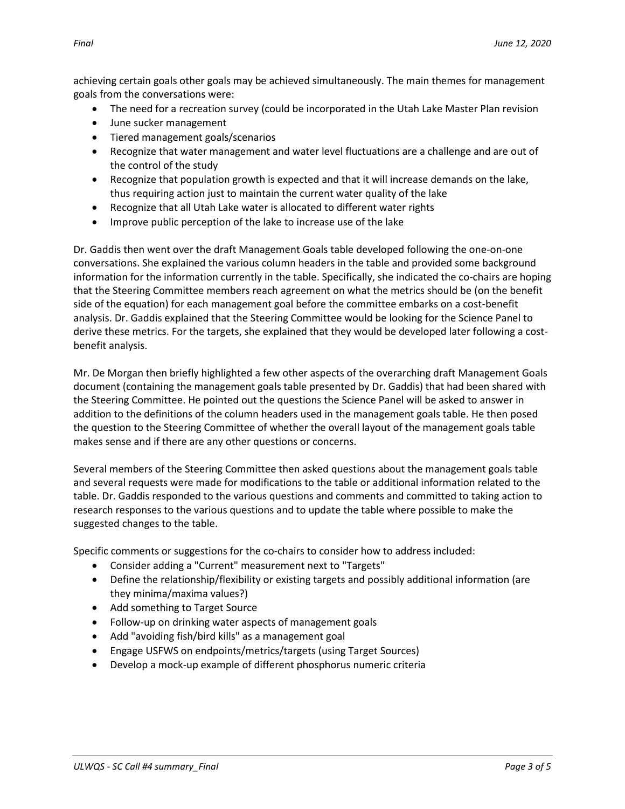achieving certain goals other goals may be achieved simultaneously. The main themes for management goals from the conversations were:

- The need for a recreation survey (could be incorporated in the Utah Lake Master Plan revision
- June sucker management
- Tiered management goals/scenarios
- Recognize that water management and water level fluctuations are a challenge and are out of the control of the study
- Recognize that population growth is expected and that it will increase demands on the lake, thus requiring action just to maintain the current water quality of the lake
- Recognize that all Utah Lake water is allocated to different water rights
- Improve public perception of the lake to increase use of the lake

Dr. Gaddis then went over the draft Management Goals table developed following the one-on-one conversations. She explained the various column headers in the table and provided some background information for the information currently in the table. Specifically, she indicated the co-chairs are hoping that the Steering Committee members reach agreement on what the metrics should be (on the benefit side of the equation) for each management goal before the committee embarks on a cost-benefit analysis. Dr. Gaddis explained that the Steering Committee would be looking for the Science Panel to derive these metrics. For the targets, she explained that they would be developed later following a costbenefit analysis.

Mr. De Morgan then briefly highlighted a few other aspects of the overarching draft Management Goals document (containing the management goals table presented by Dr. Gaddis) that had been shared with the Steering Committee. He pointed out the questions the Science Panel will be asked to answer in addition to the definitions of the column headers used in the management goals table. He then posed the question to the Steering Committee of whether the overall layout of the management goals table makes sense and if there are any other questions or concerns.

Several members of the Steering Committee then asked questions about the management goals table and several requests were made for modifications to the table or additional information related to the table. Dr. Gaddis responded to the various questions and comments and committed to taking action to research responses to the various questions and to update the table where possible to make the suggested changes to the table.

Specific comments or suggestions for the co-chairs to consider how to address included:

- Consider adding a "Current" measurement next to "Targets"
- Define the relationship/flexibility or existing targets and possibly additional information (are they minima/maxima values?)
- Add something to Target Source
- Follow-up on drinking water aspects of management goals
- Add "avoiding fish/bird kills" as a management goal
- Engage USFWS on endpoints/metrics/targets (using Target Sources)
- Develop a mock-up example of different phosphorus numeric criteria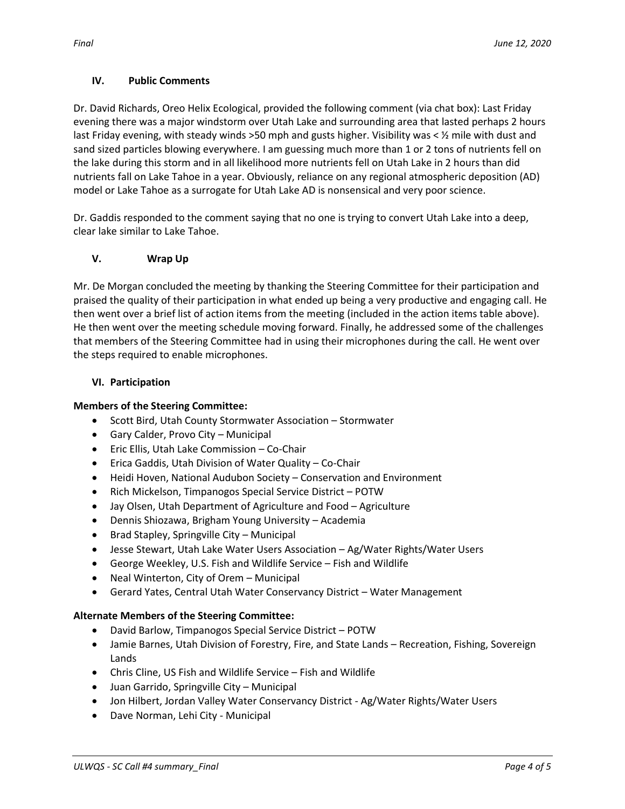### **IV. Public Comments**

Dr. David Richards, Oreo Helix Ecological, provided the following comment (via chat box): Last Friday evening there was a major windstorm over Utah Lake and surrounding area that lasted perhaps 2 hours last Friday evening, with steady winds >50 mph and gusts higher. Visibility was < 1/2 mile with dust and sand sized particles blowing everywhere. I am guessing much more than 1 or 2 tons of nutrients fell on the lake during this storm and in all likelihood more nutrients fell on Utah Lake in 2 hours than did nutrients fall on Lake Tahoe in a year. Obviously, reliance on any regional atmospheric deposition (AD) model or Lake Tahoe as a surrogate for Utah Lake AD is nonsensical and very poor science.

Dr. Gaddis responded to the comment saying that no one is trying to convert Utah Lake into a deep, clear lake similar to Lake Tahoe.

### **V. Wrap Up**

Mr. De Morgan concluded the meeting by thanking the Steering Committee for their participation and praised the quality of their participation in what ended up being a very productive and engaging call. He then went over a brief list of action items from the meeting (included in the action items table above). He then went over the meeting schedule moving forward. Finally, he addressed some of the challenges that members of the Steering Committee had in using their microphones during the call. He went over the steps required to enable microphones.

### **VI. Participation**

#### **Members of the Steering Committee:**

- Scott Bird, Utah County Stormwater Association Stormwater
- Gary Calder, Provo City Municipal
- Eric Ellis, Utah Lake Commission Co-Chair
- Erica Gaddis, Utah Division of Water Quality Co-Chair
- Heidi Hoven, National Audubon Society Conservation and Environment
- Rich Mickelson, Timpanogos Special Service District POTW
- Jay Olsen, Utah Department of Agriculture and Food Agriculture
- Dennis Shiozawa, Brigham Young University Academia
- Brad Stapley, Springville City Municipal
- Jesse Stewart, Utah Lake Water Users Association Ag/Water Rights/Water Users
- George Weekley, U.S. Fish and Wildlife Service Fish and Wildlife
- Neal Winterton, City of Orem Municipal
- Gerard Yates, Central Utah Water Conservancy District Water Management

#### **Alternate Members of the Steering Committee:**

- David Barlow, Timpanogos Special Service District POTW
- Jamie Barnes, Utah Division of Forestry, Fire, and State Lands Recreation, Fishing, Sovereign Lands
- Chris Cline, US Fish and Wildlife Service Fish and Wildlife
- Juan Garrido, Springville City Municipal
- Jon Hilbert, Jordan Valley Water Conservancy District Ag/Water Rights/Water Users
- Dave Norman, Lehi City Municipal